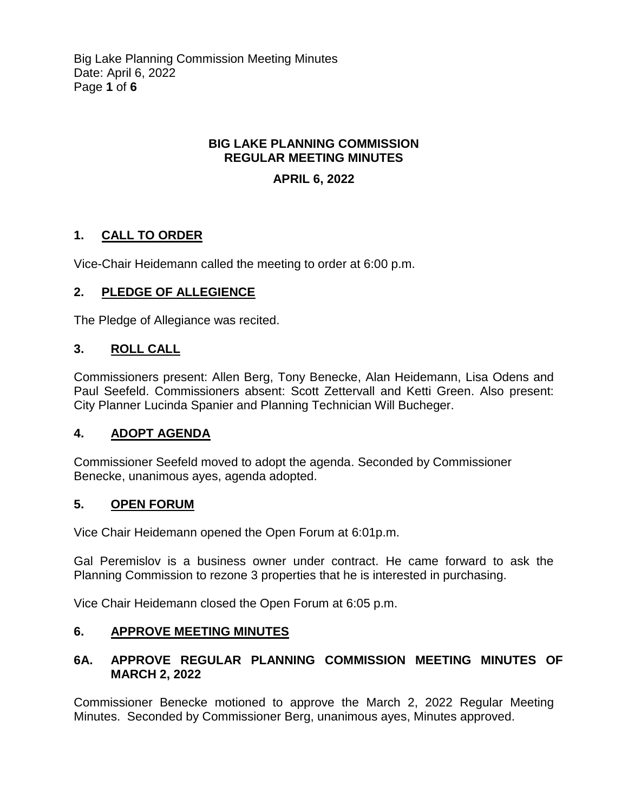# **BIG LAKE PLANNING COMMISSION REGULAR MEETING MINUTES**

# **APRIL 6, 2022**

# **1. CALL TO ORDER**

Vice-Chair Heidemann called the meeting to order at 6:00 p.m.

# **2. PLEDGE OF ALLEGIENCE**

The Pledge of Allegiance was recited.

# **3. ROLL CALL**

Commissioners present: Allen Berg, Tony Benecke, Alan Heidemann, Lisa Odens and Paul Seefeld. Commissioners absent: Scott Zettervall and Ketti Green. Also present: City Planner Lucinda Spanier and Planning Technician Will Bucheger.

# **4. ADOPT AGENDA**

Commissioner Seefeld moved to adopt the agenda. Seconded by Commissioner Benecke, unanimous ayes, agenda adopted.

#### **5. OPEN FORUM**

Vice Chair Heidemann opened the Open Forum at 6:01p.m.

Gal Peremislov is a business owner under contract. He came forward to ask the Planning Commission to rezone 3 properties that he is interested in purchasing.

Vice Chair Heidemann closed the Open Forum at 6:05 p.m.

# **6. APPROVE MEETING MINUTES**

# **6A. APPROVE REGULAR PLANNING COMMISSION MEETING MINUTES OF MARCH 2, 2022**

Commissioner Benecke motioned to approve the March 2, 2022 Regular Meeting Minutes. Seconded by Commissioner Berg, unanimous ayes, Minutes approved.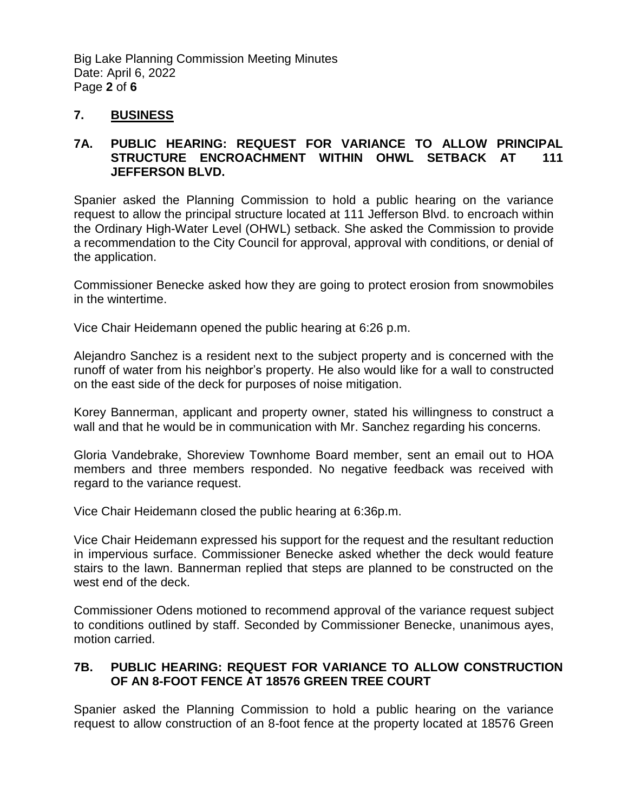Big Lake Planning Commission Meeting Minutes Date: April 6, 2022 Page **2** of **6**

### **7. BUSINESS**

### **7A. PUBLIC HEARING: REQUEST FOR VARIANCE TO ALLOW PRINCIPAL STRUCTURE ENCROACHMENT WITHIN OHWL SETBACK AT 111 JEFFERSON BLVD.**

Spanier asked the Planning Commission to hold a public hearing on the variance request to allow the principal structure located at 111 Jefferson Blvd. to encroach within the Ordinary High-Water Level (OHWL) setback. She asked the Commission to provide a recommendation to the City Council for approval, approval with conditions, or denial of the application.

Commissioner Benecke asked how they are going to protect erosion from snowmobiles in the wintertime.

Vice Chair Heidemann opened the public hearing at 6:26 p.m.

Alejandro Sanchez is a resident next to the subject property and is concerned with the runoff of water from his neighbor's property. He also would like for a wall to constructed on the east side of the deck for purposes of noise mitigation.

Korey Bannerman, applicant and property owner, stated his willingness to construct a wall and that he would be in communication with Mr. Sanchez regarding his concerns.

Gloria Vandebrake, Shoreview Townhome Board member, sent an email out to HOA members and three members responded. No negative feedback was received with regard to the variance request.

Vice Chair Heidemann closed the public hearing at 6:36p.m.

Vice Chair Heidemann expressed his support for the request and the resultant reduction in impervious surface. Commissioner Benecke asked whether the deck would feature stairs to the lawn. Bannerman replied that steps are planned to be constructed on the west end of the deck.

Commissioner Odens motioned to recommend approval of the variance request subject to conditions outlined by staff. Seconded by Commissioner Benecke, unanimous ayes, motion carried.

### **7B. PUBLIC HEARING: REQUEST FOR VARIANCE TO ALLOW CONSTRUCTION OF AN 8-FOOT FENCE AT 18576 GREEN TREE COURT**

Spanier asked the Planning Commission to hold a public hearing on the variance request to allow construction of an 8-foot fence at the property located at 18576 Green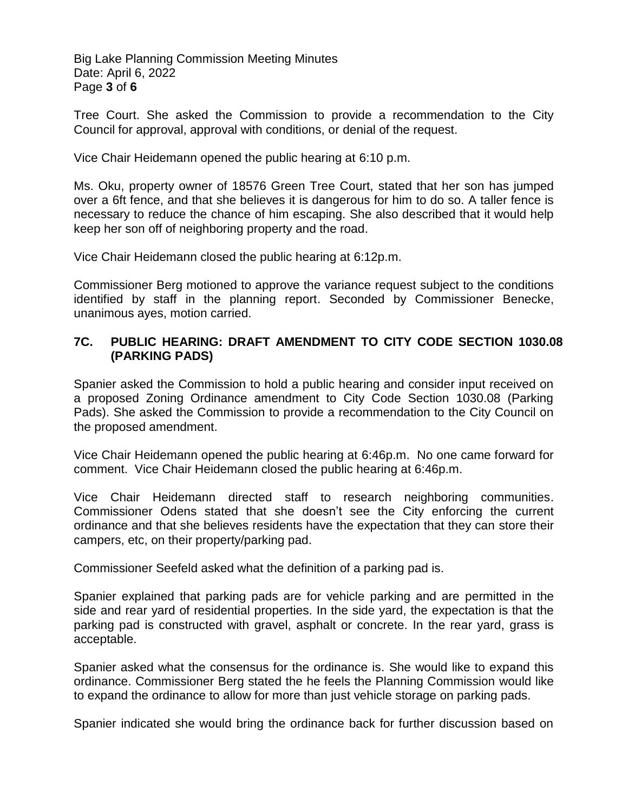Big Lake Planning Commission Meeting Minutes Date: April 6, 2022 Page **3** of **6**

Tree Court. She asked the Commission to provide a recommendation to the City Council for approval, approval with conditions, or denial of the request.

Vice Chair Heidemann opened the public hearing at 6:10 p.m.

Ms. Oku, property owner of 18576 Green Tree Court, stated that her son has jumped over a 6ft fence, and that she believes it is dangerous for him to do so. A taller fence is necessary to reduce the chance of him escaping. She also described that it would help keep her son off of neighboring property and the road.

Vice Chair Heidemann closed the public hearing at 6:12p.m.

Commissioner Berg motioned to approve the variance request subject to the conditions identified by staff in the planning report. Seconded by Commissioner Benecke, unanimous ayes, motion carried.

#### **7C. PUBLIC HEARING: DRAFT AMENDMENT TO CITY CODE SECTION 1030.08 (PARKING PADS)**

Spanier asked the Commission to hold a public hearing and consider input received on a proposed Zoning Ordinance amendment to City Code Section 1030.08 (Parking Pads). She asked the Commission to provide a recommendation to the City Council on the proposed amendment.

Vice Chair Heidemann opened the public hearing at 6:46p.m. No one came forward for comment. Vice Chair Heidemann closed the public hearing at 6:46p.m.

Vice Chair Heidemann directed staff to research neighboring communities. Commissioner Odens stated that she doesn't see the City enforcing the current ordinance and that she believes residents have the expectation that they can store their campers, etc, on their property/parking pad.

Commissioner Seefeld asked what the definition of a parking pad is.

Spanier explained that parking pads are for vehicle parking and are permitted in the side and rear yard of residential properties. In the side yard, the expectation is that the parking pad is constructed with gravel, asphalt or concrete. In the rear yard, grass is acceptable.

Spanier asked what the consensus for the ordinance is. She would like to expand this ordinance. Commissioner Berg stated the he feels the Planning Commission would like to expand the ordinance to allow for more than just vehicle storage on parking pads.

Spanier indicated she would bring the ordinance back for further discussion based on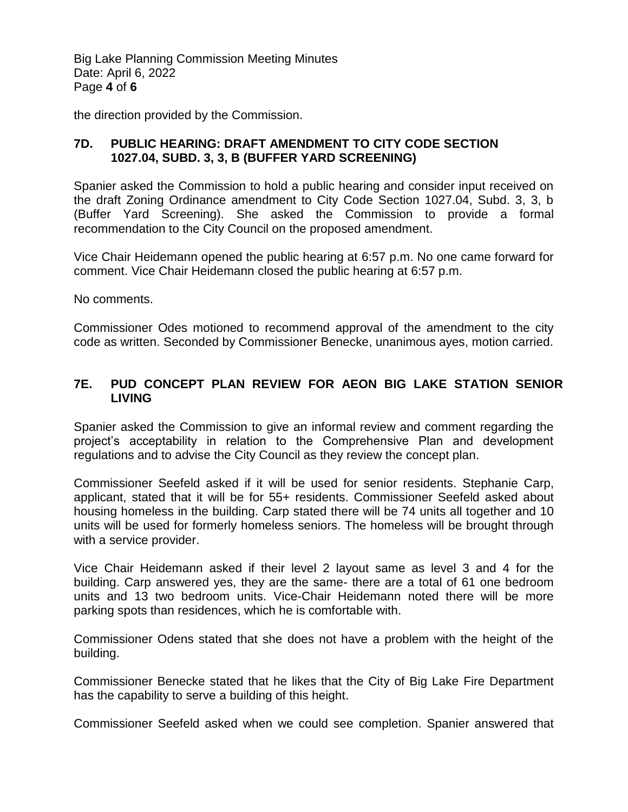Big Lake Planning Commission Meeting Minutes Date: April 6, 2022 Page **4** of **6**

the direction provided by the Commission.

### **7D. PUBLIC HEARING: DRAFT AMENDMENT TO CITY CODE SECTION 1027.04, SUBD. 3, 3, B (BUFFER YARD SCREENING)**

Spanier asked the Commission to hold a public hearing and consider input received on the draft Zoning Ordinance amendment to City Code Section 1027.04, Subd. 3, 3, b (Buffer Yard Screening). She asked the Commission to provide a formal recommendation to the City Council on the proposed amendment.

Vice Chair Heidemann opened the public hearing at 6:57 p.m. No one came forward for comment. Vice Chair Heidemann closed the public hearing at 6:57 p.m.

No comments.

Commissioner Odes motioned to recommend approval of the amendment to the city code as written. Seconded by Commissioner Benecke, unanimous ayes, motion carried.

### **7E. PUD CONCEPT PLAN REVIEW FOR AEON BIG LAKE STATION SENIOR LIVING**

Spanier asked the Commission to give an informal review and comment regarding the project's acceptability in relation to the Comprehensive Plan and development regulations and to advise the City Council as they review the concept plan.

Commissioner Seefeld asked if it will be used for senior residents. Stephanie Carp, applicant, stated that it will be for 55+ residents. Commissioner Seefeld asked about housing homeless in the building. Carp stated there will be 74 units all together and 10 units will be used for formerly homeless seniors. The homeless will be brought through with a service provider.

Vice Chair Heidemann asked if their level 2 layout same as level 3 and 4 for the building. Carp answered yes, they are the same- there are a total of 61 one bedroom units and 13 two bedroom units. Vice-Chair Heidemann noted there will be more parking spots than residences, which he is comfortable with.

Commissioner Odens stated that she does not have a problem with the height of the building.

Commissioner Benecke stated that he likes that the City of Big Lake Fire Department has the capability to serve a building of this height.

Commissioner Seefeld asked when we could see completion. Spanier answered that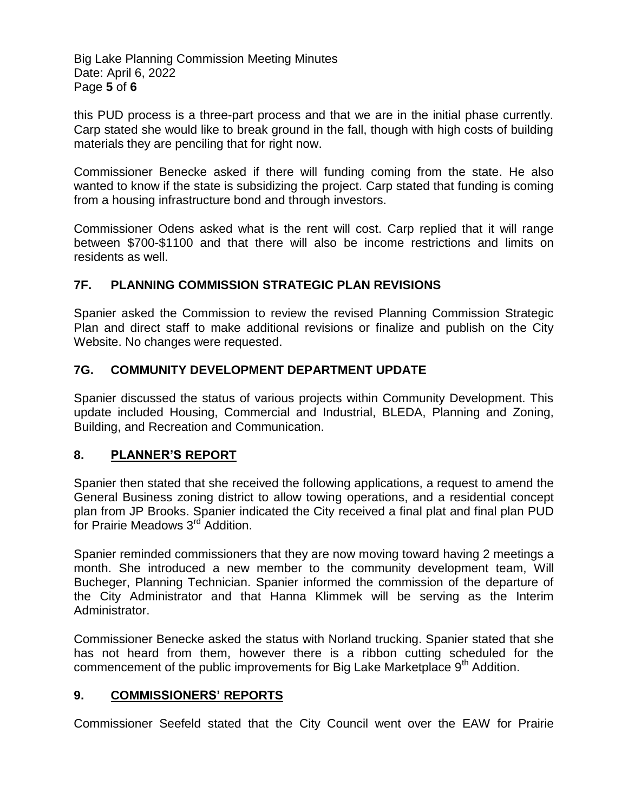Big Lake Planning Commission Meeting Minutes Date: April 6, 2022 Page **5** of **6**

this PUD process is a three-part process and that we are in the initial phase currently. Carp stated she would like to break ground in the fall, though with high costs of building materials they are penciling that for right now.

Commissioner Benecke asked if there will funding coming from the state. He also wanted to know if the state is subsidizing the project. Carp stated that funding is coming from a housing infrastructure bond and through investors.

Commissioner Odens asked what is the rent will cost. Carp replied that it will range between \$700-\$1100 and that there will also be income restrictions and limits on residents as well.

# **7F. PLANNING COMMISSION STRATEGIC PLAN REVISIONS**

Spanier asked the Commission to review the revised Planning Commission Strategic Plan and direct staff to make additional revisions or finalize and publish on the City Website. No changes were requested.

# **7G. COMMUNITY DEVELOPMENT DEPARTMENT UPDATE**

Spanier discussed the status of various projects within Community Development. This update included Housing, Commercial and Industrial, BLEDA, Planning and Zoning, Building, and Recreation and Communication.

# **8. PLANNER'S REPORT**

Spanier then stated that she received the following applications, a request to amend the General Business zoning district to allow towing operations, and a residential concept plan from JP Brooks. Spanier indicated the City received a final plat and final plan PUD for Prairie Meadows 3<sup>rd</sup> Addition.

Spanier reminded commissioners that they are now moving toward having 2 meetings a month. She introduced a new member to the community development team, Will Bucheger, Planning Technician. Spanier informed the commission of the departure of the City Administrator and that Hanna Klimmek will be serving as the Interim Administrator.

Commissioner Benecke asked the status with Norland trucking. Spanier stated that she has not heard from them, however there is a ribbon cutting scheduled for the commencement of the public improvements for Big Lake Marketplace 9<sup>th</sup> Addition.

# **9. COMMISSIONERS' REPORTS**

Commissioner Seefeld stated that the City Council went over the EAW for Prairie